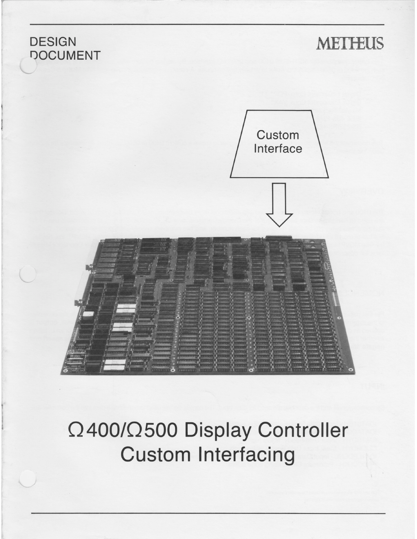

# 0400/0500 Display Controller Custom Interfacing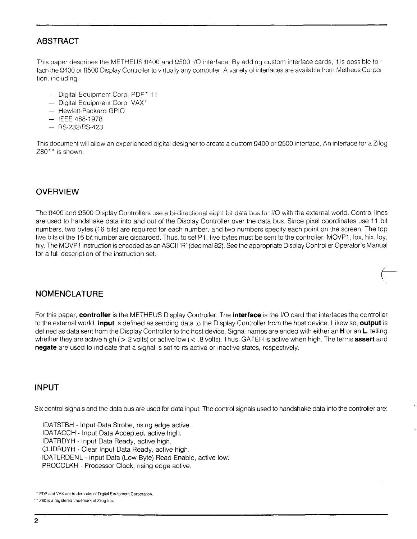# **ABSTRACT**

This paper describes the METHEUS  $\Omega$ 400 and  $\Omega$ 500 I/O interface. By adding custom interface cards, it is possible to ' tach the 12400 or 12500 Display Controller to virtually any computer. A variety of interfaces are available from Metheus Corpoi tion, including:

- $-$  Digital Equipment Corp. PDP\*-11
- Digital Equipment Corp. VAX\*
- Hewlett-Packard GPIO
- IEEE 488-1978
- RS-232/RS-423

This document will allow an experienced digital designer to create a custom  $\Omega$ 400 or  $\Omega$ 500 interface. An interface for a Zilog Z80<sup>\*</sup>\* is shown.

# **OVERVIEW**

The  $\Omega$ 400 and  $\Omega$ 500 Display Controllers use a bi-directional eight bit data bus for I/O with the external world. Control lines are used to handshake data into and out of the Display Controller over the data bus. Since pixel coordinates use 11 bit numbers, two bytes (16 bits) are required for each number, and two numbers specify each point on the screen. The top five bits of the 16 bit number are discarded. Thus, to set P1, five bytes must be sent to the controller: MOVP1, lox, hix, loy, hiy. The MOVP1 instruction is encoded as an ASCII 'R' (decimal 82). See the appropriate Display Controller Operator's Manual for a full description of the instruction set.

# **NOMENCLATURE**

For this paper, **controller** is the METHEUS Display Controller. The **interface** is the I/O card that interfaces the controller to the external world. **Input** is defined as sending data to the Display Controller from the host device. Likewise, **output** is defined as data sent from the Display Controller to the host device. Signal names are ended with either an **H** or an **L,** telling whether they are active high (> 2 volts) or active low(< .8 volts). Thus, GATEH is active when high. The terms **assert** and **negate** are used to indicate that a signal is set to its active or inactive states, respectively.

#### **INPUT**

Six control signals and the data bus are used for data input. The control signals used to handshake data into the controller are:

IDATSTBH - Input Data Strobe, rising edge active. IDATACCH - Input Data Accepted, active high. IDATRDYH - Input Data Ready, active high. CLIDRDYH - Clear Input Data Ready, active high. IDATLRDENL - Input Data (Low Byte) Read Enable, active low. PROCCLKH - Processor Clock, rising edge active.

<sup>\*</sup> PDP and VAX are trademarks of Digital Equipment Corporation.

<sup>\*&</sup>quot; Z80 is a registered trademark of Zilog Inc.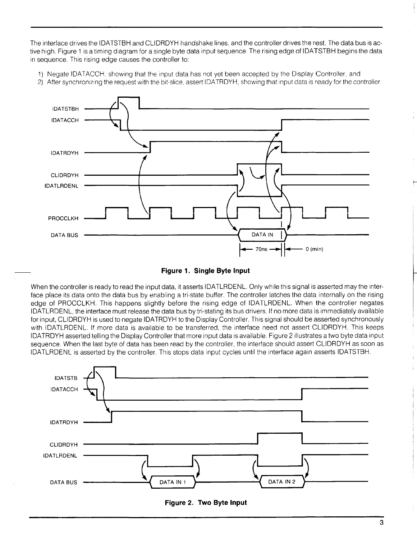The interface drives the IDATSTBH and CLIDRDYH handshake lines, and the controller drives the rest. The data bus is active high. Figure 1 is a timing diagram for a single byte data input sequence. The rising edge of IDATSTBH begins the data in sequence. This rising edge causes the controller to:

- 1) Negate IDATACCH, showing that the input data has not yet been accepted by the Display Controller, and
- 2) After synchronizing the request with the bit-slice, assert IDATRDYH, showing that input data is ready for the controller.





When the controller is ready to read the input data, it asserts IDATLRDENL. Only while this signal is asserted may the interface place its data onto the data bus by enabling a tri-state buffer. The controller latches the data internally on the rising edge of PROCCLKH. This happens slightly before the rising edge of IDATLRDENL. When the controller negates IDATLRDENL, the interface must release the data bus by tri-stating its bus drivers. If no more data is immediately available for input, CLIDRDYH is used to negate IDATRDYH to the Display Controller. This signal should be asserted synchronously with IDATLRDENL. If more data is available to be transferred, the interface need not assert CLIDRDYH. This keeps IDATRDYH asserted telling the Display Controller that more input data is available. Figure 2 illustrates a two byte data input sequence. When the last byte of data has been read by the controller, the interface should assert CLIDRDYH as soon as IDATLRDENL is asserted by the controller. This stops data input cycles until the interface again asserts IDATSTBH.



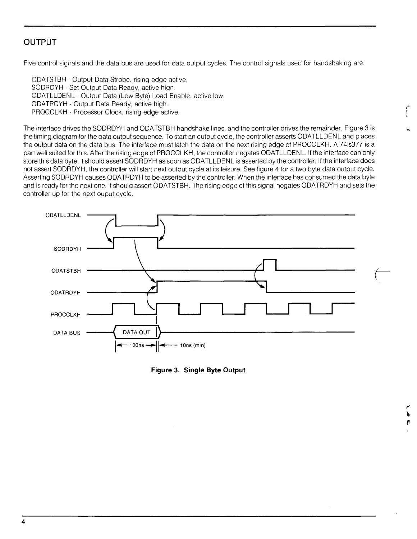# **OUTPUT**

Five control signals and the data bus are used for data output cycles. The control signals used for handshaking are:

ODATSTBH - Output Data Strobe, rising edge active. SODRDYH - Set Output Data Ready, active high. ODATLLDENL - Output Data (Low Byte) Load Enable, active low. ODATRDYH - Output Data Ready, active high. PROCCLKH - Processor Clock, rising edge active.

The interface drives the SODRDYH and ODATSTBH handshake lines, and the controller drives the remainder. Figure 3 is the timing diagram for the data output sequence. To start an output cycle, the controller asserts ODATLLDENL and places the output data on the data bus. The interface must latch the data on the next rising edge of PROCCLKH. A 74ls377 is a part well suited for this. After the rising edge of PROCCLKH, the controller negates ODATLLDENL. If the interface can only store this data byte, it should assert SODRDYH as soon as ODATLLDENL is asserted by the controller. If the interface does not assert SODRDYH, the controller will start next output cycle at its leisure. See figure 4 for a two byte data output cycle. Asserting SODRDYH causes ODATRDYH to be asserted by the controller. When the interface has consumed the data byte and is ready for the next one, it should assert ODATSTBH. The rising edge of this signal negates ODATRDYH and sets the controller up for the next ouput cycle.



**Figure 3. Single Byte Output** 

*9*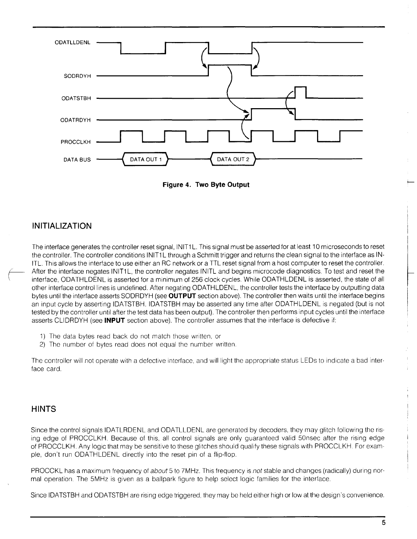

**Figure 4. Two Byte Output** 

# **INITIALIZATION**

The interface generates the controller reset signal, INIT1L. This signal must be asserted for at least 10 microseconds to reset the controller. The controller conditions INIT1L through a Schmitt trigger and returns the clean signal to the interface as IN-ITL. This allows the interface to use either an RC network or a TTL reset signal from a host computer to reset the controller. After the interface negates INIT1L, the controller negates INITL and begins microcode diagnostics. To test and reset the interface, ODATHLDENL is asserted for a minimum of 256 clock cycles. While ODATHLDENL is asserted, the state of all other interface control lines is undefined. After negating ODATHLDENL, the controller tests the interface by outputting data bytes until the interface asserts SODRDYH (see **OUTPUT** section above). The controller then waits until the interface begins an input cycle by asserting IDATSTBH. IDATSTBH may be asserted any time after ODATHLDENL is negated (but is not tested by the controller until after the test data has been output). The controller then performs input cycles until the interface asserts CLIDRDYH (see **INPUT** section above). The controller assumes that the interface is defective if:

- 1) The data bytes read back do not match those written, or
- 2) The number of bytes read does not equal the number written.

The controller will not operate with a defective interface, and will light the appropriate status LEDs to indicate a bad interface card.

# **HINTS**

Since the control signals IDATLRDENL and ODATLLDENL are generated by decoders, they may glitch following the rising edge of PROCCLKH. Because of this, all control signals are only guaranteed valid 50nsec after the rising edge of PROCCLKH. Any logic that may be sensitive to these glitches should qualify these signals with PROCCLKH. For example, don't run ODATHLDENL directly into the reset pin of a flip-flop.

PROCCKL has a maximum frequency of *about* 5 to 7MHz. This frequency is *not* stable and changes (radically) during normal operation. The 5MHz is given as a ballpark figure to help select logic families for the interface.

Since IDATSTBH and ODATSTBH are rising edge triggered, they may be held either high or low at the design's convenience.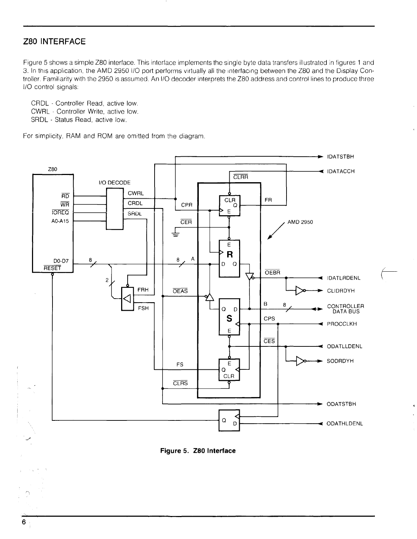### **Z80 INTERFACE**

Figure 5 shows a simple Z80 interface. This interface implements the single byte data transfers illustrated in figures 1 and 3. In this application, the AMD 2950 I/O port performs virtually all the interfacing between the Z80 and the Display Controller. Familiarity with the 2950 is assumed. An I/O decoder interprets the Z80 address and control lines to produce three I/O control signals:

CRDL - Controller Read, active low. CWRL - Controller Write, active low. SRDL - Status Read, active low.

For simplicity, RAM and ROM are omitted from the diagram.



**Figure 5. Z80 Interface**